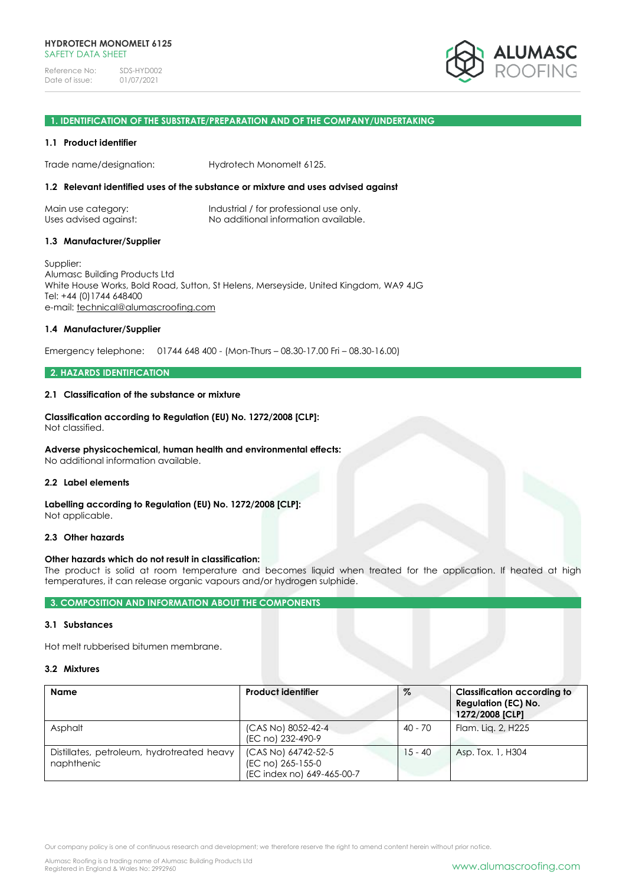

#### **1. IDENTIFICATION OF THE SUBSTRATE/PREPARATION AND OF THE COMPANY/UNDERTAKING**

#### **1.1 Product identifier**

Trade name/designation: Hydrotech Monomelt 6125.

#### **1.2 Relevant identified uses of the substance or mixture and uses advised against**

| Main use category:    | Industrial / for professional use only. |
|-----------------------|-----------------------------------------|
| Uses advised against: | No additional information available.    |

#### **1.3 Manufacturer/Supplier**

Supplier: Alumasc Building Products Ltd White House Works, Bold Road, Sutton, St Helens, Merseyside, United Kingdom, WA9 4JG Tel: +44 (0)1744 648400 e-mail: [technical@alumascroofing.com](mailto:technical@alumascroofing.com)

### **1.4 Manufacturer/Supplier**

Emergency telephone: 01744 648 400 - (Mon-Thurs – 08.30-17.00 Fri – 08.30-16.00)

## **2. HAZARDS IDENTIFICATION**

#### **2.1 Classification of the substance or mixture**

#### **Classification according to Regulation (EU) No. 1272/2008 [CLP]:** Not classified.

## **Adverse physicochemical, human health and environmental effects:**

No additional information available.

## **2.2 Label elements**

**Labelling according to Regulation (EU) No. 1272/2008 [CLP]:** Not applicable.

### **2.3 Other hazards**

## **Other hazards which do not result in classification:**

The product is solid at room temperature and becomes liquid when treated for the application. If heated at high temperatures, it can release organic vapours and/or hydrogen sulphide.

## **3. COMPOSITION AND INFORMATION ABOUT THE COMPONENTS**

### **3.1 Substances**

Hot melt rubberised bitumen membrane.

### **3.2 Mixtures**

| <b>Name</b>                                              | <b>Product identifier</b>                                              | %         | <b>Classification according to</b><br><b>Regulation (EC) No.</b><br>1272/2008 [CLP] |
|----------------------------------------------------------|------------------------------------------------------------------------|-----------|-------------------------------------------------------------------------------------|
| Asphalt                                                  | (CAS No) 8052-42-4<br>(EC no) 232-490-9                                | 40 - 70   | Flam. Lig. 2, H225                                                                  |
| Distillates, petroleum, hydrotreated heavy<br>naphthenic | (CAS No) 64742-52-5<br>(EC no) 265-155-0<br>(EC index no) 649-465-00-7 | $15 - 40$ | Asp. Tox. 1, H304                                                                   |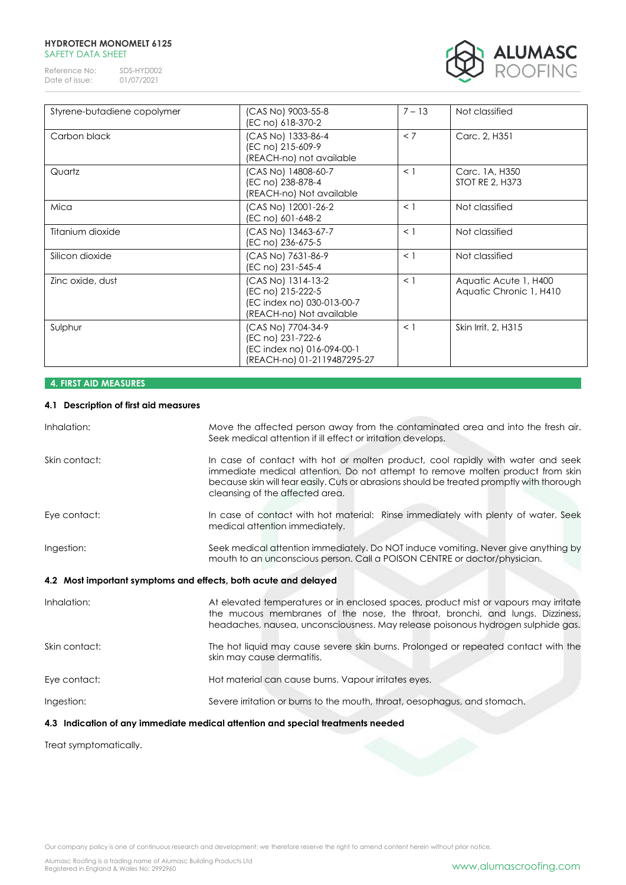### **HYDROTECH MONOMELT 6125** SAFETY DATA SHEET

Reference No: SDS-HYD002<br>Date of issue: 01/07/2021 Date of issue:



| Styrene-butadiene copolymer | (CAS No) 9003-55-8<br>(EC no) 618-370-2                                                              | $7 - 13$ | Not classified                                   |
|-----------------------------|------------------------------------------------------------------------------------------------------|----------|--------------------------------------------------|
| Carbon black                | (CAS No) 1333-86-4<br>(EC no) 215-609-9<br>(REACH-no) not available                                  | < 7      | Carc. 2, H351                                    |
| Quartz                      | (CAS No) 14808-60-7<br>(EC no) 238-878-4<br>(REACH-no) Not available                                 | $\leq$ 1 | Carc. 1A, H350<br><b>STOT RE 2, H373</b>         |
| Mica                        | (CAS No) 12001-26-2<br>(EC no) 601-648-2                                                             | $\leq$ 1 | Not classified                                   |
| Titanium dioxide            | (CAS No) 13463-67-7<br>(EC no) 236-675-5                                                             | $\leq$ 1 | Not classified                                   |
| Silicon dioxide             | (CAS No) 7631-86-9<br>(EC no) 231-545-4                                                              | $\leq$ 1 | Not classified                                   |
| Zinc oxide, dust            | (CAS No) 1314-13-2<br>(EC no) 215-222-5<br>(EC index no) 030-013-00-7<br>(REACH-no) Not available    | $\leq$ 1 | Aquatic Acute 1, H400<br>Aquatic Chronic 1, H410 |
| Sulphur                     | (CAS No) 7704-34-9<br>(EC no) 231-722-6<br>(EC index no) 016-094-00-1<br>(REACH-no) 01-2119487295-27 | $\leq$ 1 | Skin Irrit, 2, H315                              |

# **4. FIRST AID MEASURES**

## **4.1 Description of first aid measures**

| Inhalation:                                                     | Move the affected person away from the contaminated area and into the fresh air.<br>Seek medical attention if ill effect or irritation develops.                                                                                                                                                  |
|-----------------------------------------------------------------|---------------------------------------------------------------------------------------------------------------------------------------------------------------------------------------------------------------------------------------------------------------------------------------------------|
| Skin contact:                                                   | In case of contact with hot or molten product, cool rapidly with water and seek<br>immediate medical attention. Do not attempt to remove molten product from skin<br>because skin will tear easily. Cuts or abrasions should be treated promptly with thorough<br>cleansing of the affected area. |
| Eye contact:                                                    | In case of contact with hot material: Rinse immediately with plenty of water. Seek<br>medical attention immediately.                                                                                                                                                                              |
| Ingestion:                                                      | Seek medical attention immediately. Do NOT induce vomiting. Never give anything by<br>mouth to an unconscious person. Call a POISON CENTRE or doctor/physician.                                                                                                                                   |
| 4.2 Most important symptoms and effects, both acute and delayed |                                                                                                                                                                                                                                                                                                   |
| Inhalation:                                                     | At elevated temperatures or in enclosed spaces, product mist or vapours may irritate<br>the mucous membranes of the nose, the throat, bronchi, and lungs. Dizziness,<br>headaches, nausea, unconsciousness. May release poisonous hydrogen sulphide gas.                                          |
| Skin contact:                                                   | The hot liquid may cause severe skin burns. Prolonged or repeated contact with the<br>skin may cause dermatitis.                                                                                                                                                                                  |
| Eye contact:                                                    | Hot material can cause burns. Vapour irritates eyes.                                                                                                                                                                                                                                              |
| Ingestion:                                                      | Severe irritation or burns to the mouth, throat, oesophagus, and stomach.                                                                                                                                                                                                                         |
|                                                                 | ∦ A the Pearl of a contract of the country of a Pearl allow Pearl and the contribution of the colour of the di                                                                                                                                                                                    |

## **4.3 Indication of any immediate medical attention and special treatments needed**

Treat symptomatically.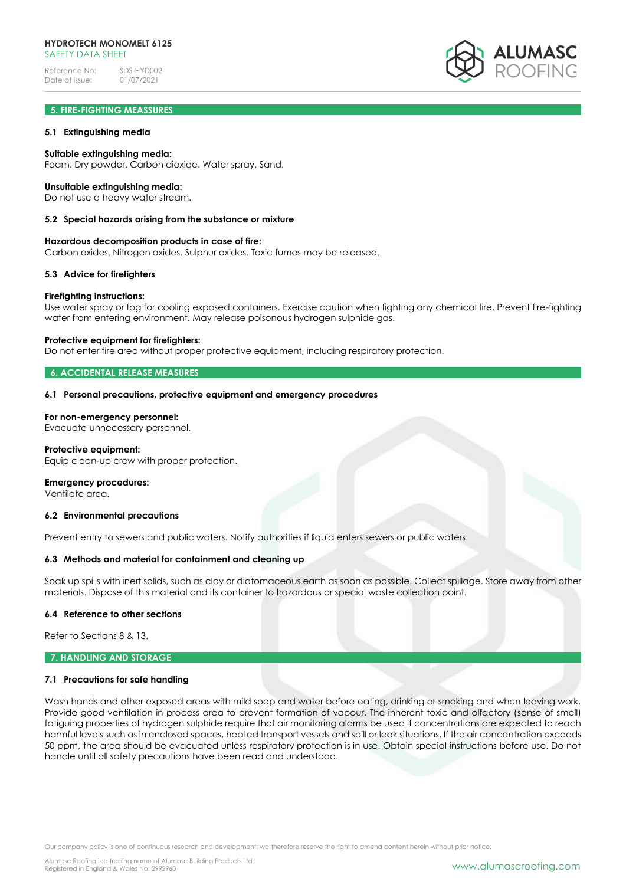

## **5. FIRE-FIGHTING MEASSURES**

### **5.1 Extinguishing media**

### **Suitable extinguishing media:**

Foam. Dry powder. Carbon dioxide. Water spray. Sand.

#### **Unsuitable extinguishing media:**

Do not use a heavy water stream.

#### **5.2 Special hazards arising from the substance or mixture**

#### **Hazardous decomposition products in case of fire:**

Carbon oxides. Nitrogen oxides. Sulphur oxides. Toxic fumes may be released.

#### **5.3 Advice for firefighters**

#### **Firefighting instructions:**

Use water spray or fog for cooling exposed containers. Exercise caution when fighting any chemical fire. Prevent fire-fighting water from entering environment. May release poisonous hydrogen sulphide gas.

#### **Protective equipment for firefighters:**

Do not enter fire area without proper protective equipment, including respiratory protection.

#### **6. ACCIDENTAL RELEASE MEASURES**

#### **6.1 Personal precautions, protective equipment and emergency procedures**

### **For non-emergency personnel:**

Evacuate unnecessary personnel.

## **Protective equipment:**

Equip clean-up crew with proper protection.

#### **Emergency procedures:**

Ventilate area.

#### **6.2 Environmental precautions**

Prevent entry to sewers and public waters. Notify authorities if liquid enters sewers or public waters.

#### **6.3 Methods and material for containment and cleaning up**

Soak up spills with inert solids, such as clay or diatomaceous earth as soon as possible. Collect spillage. Store away from other materials. Dispose of this material and its container to hazardous or special waste collection point.

#### **6.4 Reference to other sections**

Refer to Sections 8 & 13.

#### **7. HANDLING AND STORAGE**

#### **7.1 Precautions for safe handling**

Wash hands and other exposed areas with mild soap and water before eating, drinking or smoking and when leaving work. Provide good ventilation in process area to prevent formation of vapour. The inherent toxic and olfactory (sense of smell) fatiguing properties of hydrogen sulphide require that air monitoring alarms be used if concentrations are expected to reach harmful levels such as in enclosed spaces, heated transport vessels and spill or leak situations. If the air concentration exceeds 50 ppm, the area should be evacuated unless respiratory protection is in use. Obtain special instructions before use. Do not handle until all safety precautions have been read and understood.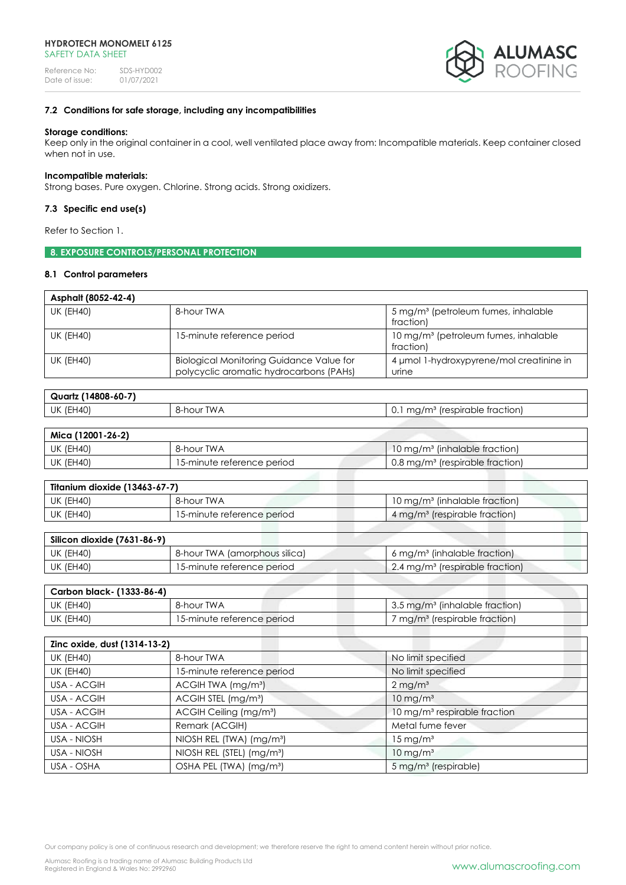

## **7.2 Conditions for safe storage, including any incompatibilities**

### **Storage conditions:**

Keep only in the original container in a cool, well ventilated place away from: Incompatible materials. Keep container closed when not in use.

### **Incompatible materials:**

Strong bases. Pure oxygen. Chlorine. Strong acids. Strong oxidizers.

## **7.3 Specific end use(s)**

Refer to Section 1.

## **8. EXPOSURE CONTROLS/PERSONAL PROTECTION**

## **8.1 Control parameters**

| Asphalt (8052-42-4) |                                                                                            |                                                               |
|---------------------|--------------------------------------------------------------------------------------------|---------------------------------------------------------------|
| UK (EH40)           | 8-hour TWA                                                                                 | 5 mg/m <sup>3</sup> (petroleum fumes, inhalable<br>fraction)  |
| UK (EH40)           | 15-minute reference period                                                                 | 10 mg/m <sup>3</sup> (petroleum fumes, inhalable<br>fraction) |
| <b>UK (EH40)</b>    | <b>Biological Monitoring Guidance Value for</b><br>polycyclic aromatic hydrocarbons (PAHs) | 4 umol 1-hydroxypyrene/mol creatinine in<br>urine             |

| $(14808 - 60 - 7)$<br>Quartz |               |                                                                                              |
|------------------------------|---------------|----------------------------------------------------------------------------------------------|
| (EH40)<br>UK                 | TWA<br>8-hour | frespirable fraction).<br>1/m <sup>3</sup><br>ma <sub>0</sub><br>∪. ∟<br>119711 <sup>.</sup> |

| Mica (12001-26-2) |                            |                                                        |
|-------------------|----------------------------|--------------------------------------------------------|
| UK (EH40)         | 8-hour TWA                 | $10 \,\mathrm{mg/m}$ <sup>3</sup> (inhalable fraction) |
| UK (EH40)         | 15-minute reference period | 0.8 mg/m <sup>3</sup> (respirable fraction)            |

| Titanium dioxide (13463-67-7) |                            |                                           |
|-------------------------------|----------------------------|-------------------------------------------|
| <b>UK (EH40)</b>              | 8-hour TWA                 | 10 mg/m <sup>3</sup> (inhalable fraction) |
| <b>UK (EH40)</b>              | 15-minute reference period | 4 mg/m <sup>3</sup> (respirable fraction) |

| Silicon dioxide (7631-86-9) |                               |                                                          |
|-----------------------------|-------------------------------|----------------------------------------------------------|
| UK (EH40)                   | 8-hour TWA (amorphous silica) | $6 \,\mathrm{mg/m^3}$ (inhalable fraction)               |
| UK (EH40)                   | 15-minute reference period    | $\frac{1}{2}$ .4 mg/m <sup>3</sup> (respirable fraction) |

| Carbon black- (1333-86-4) |                            |                                                   |
|---------------------------|----------------------------|---------------------------------------------------|
| UK (EH40)                 | 8-hour TWA                 | $\mid$ 3.5 mg/m <sup>3</sup> (inhalable fraction) |
| UK (EH40)                 | 15-minute reference period | mg/m <sup>3</sup> (respirable fraction)           |
|                           |                            |                                                   |

| Zinc oxide, dust (1314-13-2) |                                       |                                          |
|------------------------------|---------------------------------------|------------------------------------------|
| <b>UK (EH40)</b>             | 8-hour TWA                            | No limit specified                       |
| <b>UK (EH40)</b>             | 15-minute reference period            | No limit specified                       |
| USA - ACGIH                  | ACGIH TWA (mg/m <sup>3</sup> )        | $2 \,\mathrm{mg/m^3}$                    |
| USA - ACGIH                  | ACGIH STEL (mg/m <sup>3</sup> )       | $10 \text{ mg/m}^3$                      |
| USA - ACGIH                  | ACGIH Ceiling (mg/m <sup>3</sup> )    | 10 mg/m <sup>3</sup> respirable fraction |
| USA - ACGIH                  | Remark (ACGIH)                        | Metal fume fever                         |
| USA - NIOSH                  | NIOSH REL (TWA) (mg/m <sup>3</sup> )  | $15 \,\mathrm{mg/m^3}$                   |
| USA - NIOSH                  | NIOSH REL (STEL) (mg/m <sup>3</sup> ) | $10 \text{ mg/m}^3$                      |
| USA - OSHA                   | OSHA PEL (TWA) (mg/m <sup>3</sup> )   | 5 mg/m <sup>3</sup> (respirable)         |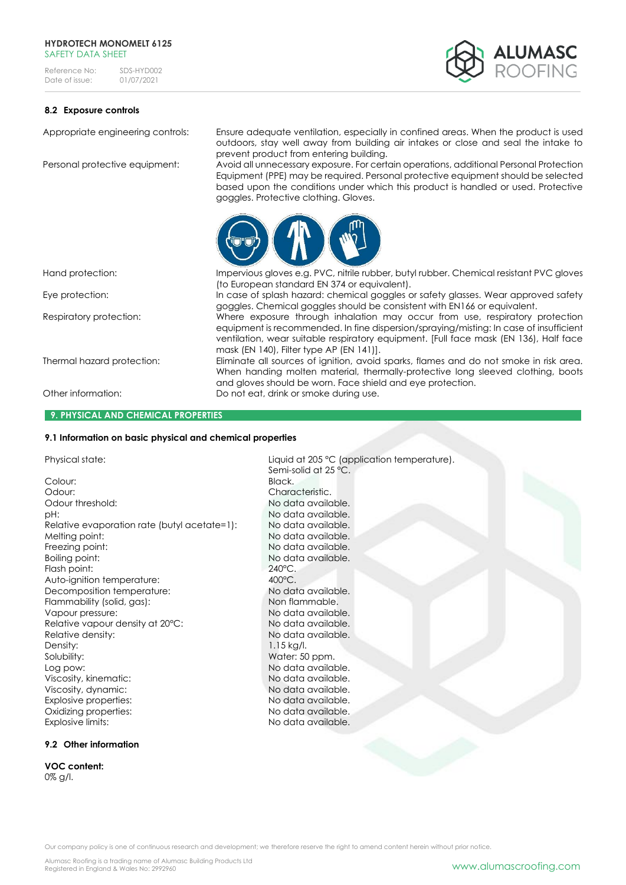#### **HYDROTECH MONOMELT 6125** SAFFTY DATA SHFFT

Reference No: SDS-HYD002<br>Date of issue: 01/07/2021 Date of issue:



## **8.2 Exposure controls**

Appropriate engineering controls: Ensure adequate ventilation, especially in confined areas. When the product is used outdoors, stay well away from building air intakes or close and seal the intake to prevent product from entering building.

Personal protective equipment: Avoid all unnecessary exposure. For certain operations, additional Personal Protection Equipment (PPE) may be required. Personal protective equipment should be selected based upon the conditions under which this product is handled or used. Protective goggles. Protective clothing. Gloves.



#### **9. PHYSICAL AND CHEMICAL PROPERTIES**

### **9.1 Information on basic physical and chemical properties**

Colour: Black. Odour: Characteristic. Odour threshold: No data available. pH:  $N$ o data available. Relative evaporation rate (butyl acetate=1): No data available. Melting point: No data available. Freezing point: No data available. Boiling point: No data available. Flash point: 240°C.<br>Auto-ianition temperature: 200°C. Auto-ignition temperature:  $\begin{array}{ccc} 400^{\circ}\text{C} & 400^{\circ}\text{C} \\ \text{Decomposition temperature:} & \text{No data available.} \end{array}$ Decomposition temperature: Flammability (solid, gas): Non flammable. Vapour pressure:  $\blacksquare$ Relative vapour density at 20°C: No data available. Relative density: No data available. Density: 1.15 kg/l. Solubility: Water: 50 ppm.<br>
Log pow: No data availa! Viscosity, kinematic: No data available. Viscosity, dynamic:<br>
Fxplosive properties:<br>
No data available Explosive properties: Oxidizing properties: No data available.

Explosive limits: No data available.

## **9.2 Other information**

**VOC content:**  0% g/l.

Hand protection: Impervious gloves e.g. PVC, nitrile rubber, butyl rubber. Chemical resistant PVC gloves (to European standard EN 374 or equivalent). Eye protection: In case of splash hazard: chemical goggles or safety glasses. Wear approved safety

goggles. Chemical goggles should be consistent with EN166 or equivalent. Respiratory protection: Where exposure through inhalation may occur from use, respiratory protection

equipment is recommended. In fine dispersion/spraying/misting: In case of insufficient ventilation, wear suitable respiratory equipment. [Full face mask (EN 136), Half face mask (EN 140), Filter type AP (EN 141)].

Thermal hazard protection: Eliminate all sources of ignition, avoid sparks, flames and do not smoke in risk area. When handing molten material, thermally-protective long sleeved clothing, boots and gloves should be worn. Face shield and eye protection. Other information: Do not eat, drink or smoke during use.

Physical state:  $Liquid$  at 205 °C (application temperature). Semi-solid at 25 °C. No data available.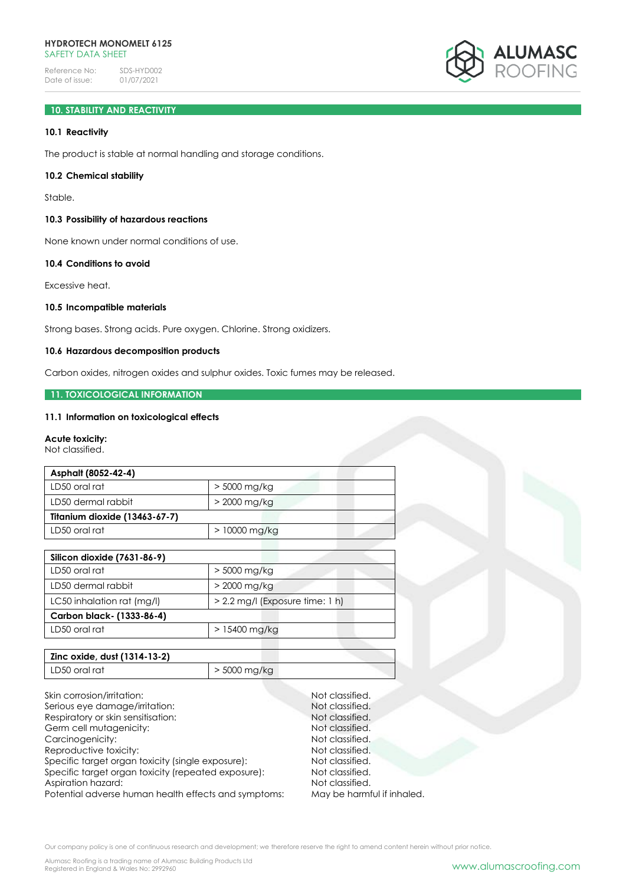

# **10. STABILITY AND REACTIVITY**

## **10.1 Reactivity**

The product is stable at normal handling and storage conditions.

### **10.2 Chemical stability**

Stable.

## **10.3 Possibility of hazardous reactions**

None known under normal conditions of use.

## **10.4 Conditions to avoid**

Excessive heat.

## **10.5 Incompatible materials**

Strong bases. Strong acids. Pure oxygen. Chlorine. Strong oxidizers.

## **10.6 Hazardous decomposition products**

Carbon oxides, nitrogen oxides and sulphur oxides. Toxic fumes may be released.

#### **11. TOXICOLOGICAL INFORMATION**

### **11.1 Information on toxicological effects**

#### **Acute toxicity:**

Not classified.

| Asphalt (8052-42-4)           |                |  |
|-------------------------------|----------------|--|
| LD50 oral rat                 | > 5000 mg/kg   |  |
| LD50 dermal rabbit            | $>$ 2000 mg/kg |  |
| Titanium dioxide (13463-67-7) |                |  |
| LD50 oral rat                 | $>10000$ mg/kg |  |

| Silicon dioxide (7631-86-9) |                                   |
|-----------------------------|-----------------------------------|
| LD50 oral rat               | $>$ 5000 mg/kg                    |
| LD50 dermal rabbit          | $>$ 2000 mg/kg                    |
| LC50 inhalation rat (mg/l)  | $> 2.2$ mg/l (Exposure time: 1 h) |
| Carbon black- (1333-86-4)   |                                   |
| LD50 oral rat               | $>15400$ mg/kg                    |

| Zinc oxide, dust (1314-13-2) |                |
|------------------------------|----------------|
| LD50 oral rat                | $>$ 5000 mg/kg |

Skin corrosion/irritation: Not classified.<br>
Serious eve damage/irritation: Not classified. Serious eye damage/irritation: Respiratory or skin sensitisation: Not classified. Germ cell mutagenicity: Not classified. Carcinogenicity: Not classified. Reproductive toxicity: Not classified. Specific target organ toxicity (single exposure): Not classified. Specific target organ toxicity (repeated exposure): Not classified. Aspiration hazard: Not classified.<br>
Potential adverse human health effects and symptoms: May be harmful if inhaled. Potential adverse human health effects and symptoms: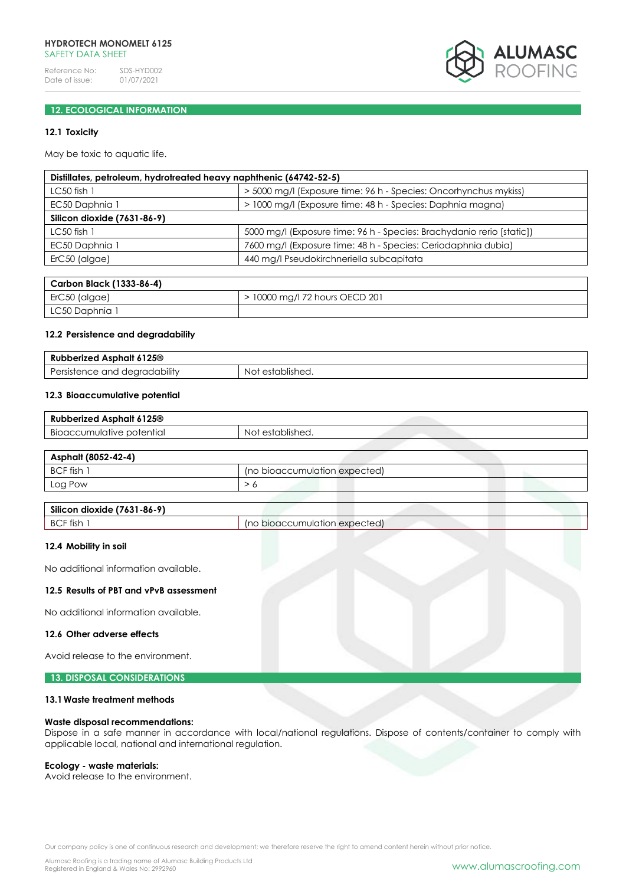### **HYDROTECH MONOMELT 6125** SAFFTY DATA SHFFT

Reference No: SDS-HYD002<br>Date of issue: 01/07/2021 Date of issue:



## **12. ECOLOGICAL INFORMATION**

## **12.1 Toxicity**

May be toxic to aquatic life.

| Distillates, petroleum, hydrotreated heavy naphthenic (64742-52-5) |                                                                       |  |
|--------------------------------------------------------------------|-----------------------------------------------------------------------|--|
| $LC50$ fish $1$                                                    | > 5000 mg/l (Exposure time: 96 h - Species: Oncorhynchus mykiss)      |  |
| EC50 Daphnia 1                                                     | > 1000 mg/l (Exposure time: 48 h - Species: Daphnia magna)            |  |
| Silicon dioxide (7631-86-9)                                        |                                                                       |  |
| $LC50$ fish 1                                                      | 5000 mg/l (Exposure time: 96 h - Species: Brachydanio rerio [static]) |  |
| EC50 Daphnia 1                                                     | 7600 mg/l (Exposure time: 48 h - Species: Ceriodaphnia dubia)         |  |
| ErC50 (algae)                                                      | 440 mg/l Pseudokirchneriella subcapitata                              |  |
|                                                                    |                                                                       |  |

| Carbon Black (1333-86-4) |                                |
|--------------------------|--------------------------------|
| $\mid$ ErC50 (algae)     | > 10000 mg/l 72 hours OECD 201 |
| LC50 Daphnia 1           |                                |

#### **12.2 Persistence and degradability**

| 6125 <sup>®</sup><br>perized Asphalt<br>Rul              |                     |
|----------------------------------------------------------|---------------------|
| .<br>≧ana r<br>degradability<br>ersis<br>51⊟L'<br>$\sim$ | established.<br>NO. |

## **12.3 Bioaccumulative potential**

| bberized Asphalt 6125®<br>Rul                   |                    |
|-------------------------------------------------|--------------------|
| $\cdot$ .<br>potential<br>cumulative:<br>BIOOCC | establishea.<br>Nс |

| Asphalt (8052-42-4) |                               |
|---------------------|-------------------------------|
| BCF fish 1          | (no bioaccumulation expected) |
| Log Pow             |                               |

| Silicon dioxide (7631-86-9) |                           |
|-----------------------------|---------------------------|
| BCF fish<br>Ino             | bioaccumulation expected) |

## **12.4 Mobility in soil**

No additional information available.

#### **12.5 Results of PBT and vPvB assessment**

No additional information available.

#### **12.6 Other adverse effects**

Avoid release to the environment.

## **13. DISPOSAL CONSIDERATIONS**

## **13.1Waste treatment methods**

#### **Waste disposal recommendations:**

Dispose in a safe manner in accordance with local/national regulations. Dispose of contents/container to comply with applicable local, national and international regulation.

#### **Ecology - waste materials:**

Avoid release to the environment.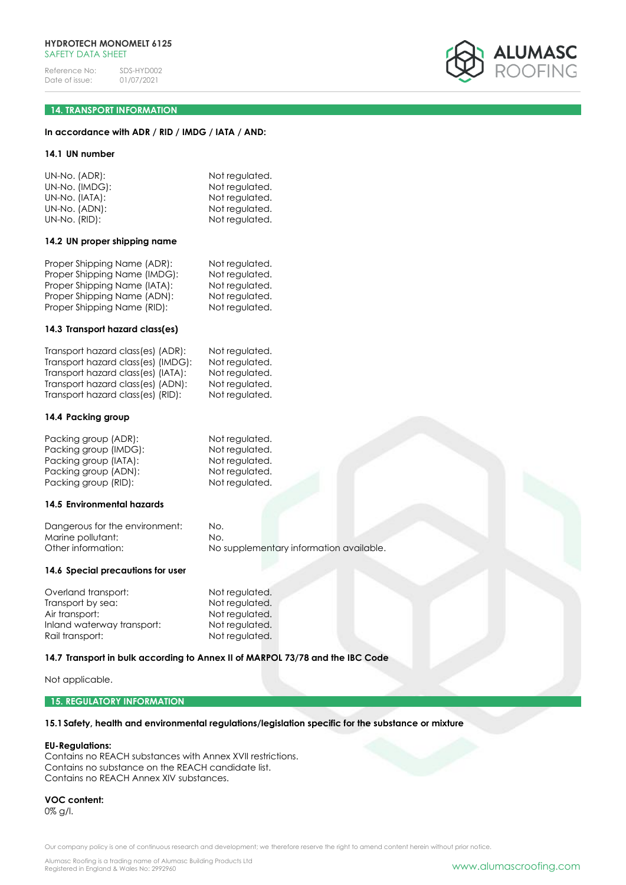

## **14. TRANSPORT INFORMATION**

## **In accordance with ADR / RID / IMDG / IATA / AND:**

#### **14.1 UN number**

| UN-No. (ADR):  | Not regulated. |
|----------------|----------------|
| UN-No. (IMDG): | Not regulated. |
| UN-No. (IATA): | Not regulated. |
| UN-No. (ADN):  | Not regulated. |
| UN-No. (RID):  | Not regulated. |

#### **14.2 UN proper shipping name**

| Proper Shipping Name (ADR):  | Not regulated. |
|------------------------------|----------------|
| Proper Shipping Name (IMDG): | Not regulated. |
| Proper Shipping Name (IATA): | Not regulated. |
| Proper Shipping Name (ADN):  | Not regulated. |
| Proper Shipping Name (RID):  | Not regulated. |
|                              |                |

#### **14.3 Transport hazard class(es)**

| Transport hazard class(es) (ADR):  | Not regulated. |
|------------------------------------|----------------|
| Transport hazard class(es) (IMDG): | Not regulated. |
| Transport hazard class(es) (IATA): | Not regulated. |
| Transport hazard class(es) (ADN):  | Not regulated. |
| Transport hazard class(es) (RID):  | Not regulated. |

#### **14.4 Packing group**

| Packing group (ADR):  | Not regulated. |
|-----------------------|----------------|
| Packing group (IMDG): | Not regulated. |
| Packing group (IATA): | Not regulated. |
| Packing group (ADN):  | Not regulated. |
| Packing group (RID):  | Not regulated. |

#### **14.5 Environmental hazards**

Dangerous for the environment: No. Marine pollutant: No. Other information: No supplementary information available.

## **14.6 Special precautions for user**

Overland transport:<br>
Transport by sea:<br>
Not regulated. Transport by sea:<br>Air transport: Inland waterway transport: Not regulated. Rail transport: Not regulated.

Not regulated.

## **14.7 Transport in bulk according to Annex II of MARPOL 73/78 and the IBC Code**

Not applicable.

### **15. REGULATORY INFORMATION**

## **15.1Safety, health and environmental regulations/legislation specific for the substance or mixture**

#### **EU-Regulations:**

Contains no REACH substances with Annex XVII restrictions. Contains no substance on the REACH candidate list. Contains no REACH Annex XIV substances.

**VOC content:** 0% g/l.